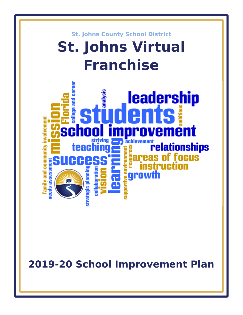

**2019-20 School Improvement Plan**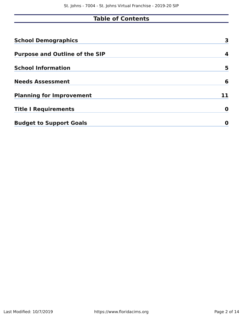# **Table of Contents**

| <b>School Demographics</b>            | 3  |
|---------------------------------------|----|
| <b>Purpose and Outline of the SIP</b> | 4  |
| <b>School Information</b>             | 5  |
| <b>Needs Assessment</b>               | 6  |
| <b>Planning for Improvement</b>       | 11 |
| <b>Title I Requirements</b>           | 0  |
| <b>Budget to Support Goals</b>        | O  |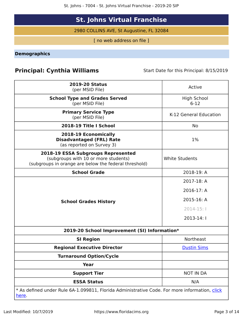St. Johns - 7004 - St. Johns Virtual Franchise - 2019-20 SIP

# **St. Johns Virtual Franchise**

2980 COLLINS AVE, St Augustine, FL 32084

[ no web address on file ]

<span id="page-2-0"></span>**Demographics**

## **Principal: Cynthia Williams** Start Date for this Principal: 8/15/2019

| <b>2019-20 Status</b><br>(per MSID File)                                                                                            | Active                       |
|-------------------------------------------------------------------------------------------------------------------------------------|------------------------------|
| <b>School Type and Grades Served</b><br>(per MSID File)                                                                             | <b>High School</b><br>$6-12$ |
| <b>Primary Service Type</b><br>(per MSID File)                                                                                      | K-12 General Education       |
| 2018-19 Title I School                                                                                                              | No                           |
| 2018-19 Economically<br><b>Disadvantaged (FRL) Rate</b><br>(as reported on Survey 3)                                                | $1\%$                        |
| 2018-19 ESSA Subgroups Represented<br>(subgroups with 10 or more students)<br>(subgroups in orange are below the federal threshold) | <b>White Students</b>        |
| <b>School Grade</b>                                                                                                                 | 2018-19: A                   |
|                                                                                                                                     | 2017-18: A                   |
|                                                                                                                                     | 2016-17: A                   |
| <b>School Grades History</b>                                                                                                        | 2015-16: A                   |
|                                                                                                                                     | $2014 - 15:$                 |
|                                                                                                                                     | 2013-14: I                   |
| 2019-20 School Improvement (SI) Information*                                                                                        |                              |
| <b>SI Region</b>                                                                                                                    | Northeast                    |
| <b>Regional Executive Director</b>                                                                                                  | <b>Dustin Sims</b>           |
| <b>Turnaround Option/Cycle</b>                                                                                                      |                              |
| <b>Year</b>                                                                                                                         |                              |
| <b>Support Tier</b>                                                                                                                 | <b>NOT IN DA</b>             |
| <b>ESSA Status</b>                                                                                                                  | N/A                          |
| * As defined under Rule 6A-1.099811, Florida Administrative Code. For more information, click<br><u>here</u> .                      |                              |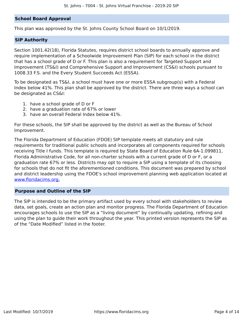### **School Board Approval**

This plan was approved by the St. Johns County School Board on 10/1/2019.

#### **SIP Authority**

Section 1001.42(18), Florida Statutes, requires district school boards to annually approve and require implementation of a Schoolwide Improvement Plan (SIP) for each school in the district that has a school grade of D or F. This plan is also a requirement for Targeted Support and Improvement (TS&I) and Comprehensive Support and Improvement (CS&I) schools pursuant to 1008.33 F.S. and the Every Student Succeeds Act (ESSA).

To be designated as TS&I, a school must have one or more ESSA subgroup(s) with a Federal Index below 41%. This plan shall be approved by the district. There are three ways a school can be designated as CS&I:

- 1. have a school grade of D or F
- 2. have a graduation rate of 67% or lower
- 3. have an overall Federal Index below 41%.

For these schools, the SIP shall be approved by the district as well as the Bureau of School Improvement.

The Florida Department of Education (FDOE) SIP template meets all statutory and rule requirements for traditional public schools and incorporates all components required for schools receiving Title I funds. This template is required by State Board of Education Rule 6A-1.099811, Florida Administrative Code, for all non-charter schools with a current grade of D or F, or a graduation rate 67% or less. Districts may opt to require a SIP using a template of its choosing for schools that do not fit the aforementioned conditions. This document was prepared by school and district leadership using the FDOE's school improvement planning web application located at [www.floridacims.org.](https://www.floridacims.org)

### <span id="page-3-0"></span>**Purpose and Outline of the SIP**

The SIP is intended to be the primary artifact used by every school with stakeholders to review data, set goals, create an action plan and monitor progress. The Florida Department of Education encourages schools to use the SIP as a "living document" by continually updating, refining and using the plan to guide their work throughout the year. This printed version represents the SIP as of the "Date Modified" listed in the footer.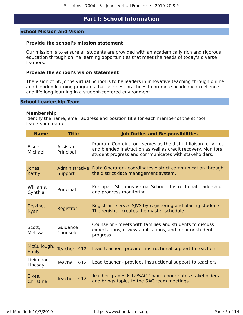### **Part I: School Information**

#### <span id="page-4-0"></span>**School Mission and Vision**

#### **Provide the school's mission statement**

Our mission is to ensure all students are provided with an academically rich and rigorous education through online learning opportunities that meet the needs of today's diverse learners.

### **Provide the school's vision statement**

The vision of St. Johns Virtual School is to be leaders in innovative teaching through online and blended learning programs that use best practices to promote academic excellence and life long learning in a student-centered environment.

#### **School Leadership Team**

#### **Membership**

Identify the name, email address and position title for each member of the school leadership team**:**

| <b>Name</b>           | <b>Title</b>           | <b>Job Duties and Responsibilities</b>                                                                                                                                                   |
|-----------------------|------------------------|------------------------------------------------------------------------------------------------------------------------------------------------------------------------------------------|
| Eisen,<br>Michael     | Assistant<br>Principal | Program Coordinator - serves as the district liaison for virtual<br>and blended instruction as well as credit recovery. Monitors<br>student progress and communicates with stakeholders. |
| Jones,<br>Kathy       | Support                | Administrative Data Operator - coordinates district communication through<br>the district data management system.                                                                        |
| Williams,<br>Cynthia  | Principal              | Principal - St. Johns Virtual School - Instructional leadership<br>and progress monitoring.                                                                                              |
| Erskine,<br>Ryan      | Registrar              | Registrar - serves SJVS by registering and placing students.<br>The registrar creates the master schedule.                                                                               |
| Scott,<br>Melissa     | Guidance<br>Counselor  | Counselor - meets with families and students to discuss<br>expectations, review applications, and monitor student<br>progress.                                                           |
| McCullough,<br>Emily  | Teacher, K-12          | Lead teacher - provides instructional support to teachers.                                                                                                                               |
| Livingood,<br>Lindsay | Teacher, K-12          | Lead teacher - provides instructional support to teachers.                                                                                                                               |
| Sikes,<br>Christine   | Teacher, K-12          | Teacher grades 6-12/SAC Chair - coordinates stakeholders<br>and brings topics to the SAC team meetings.                                                                                  |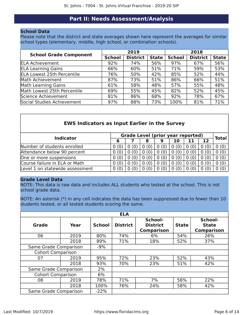### **Part II: Needs Assessment/Analysis**

### <span id="page-5-0"></span>**School Data**

Please note that the district and state averages shown here represent the averages for similar school types (elementary, middle, high school, or combination schools).

| <b>School Grade Component</b>     |               | 2019            |              | 2018          |                 |              |  |
|-----------------------------------|---------------|-----------------|--------------|---------------|-----------------|--------------|--|
|                                   | <b>School</b> | <b>District</b> | <b>State</b> | <b>School</b> | <b>District</b> | <b>State</b> |  |
| <b>ELA Achievement</b>            | 92%           | 74%             | 56%          | 97%           | 67%             | 56%          |  |
| <b>ELA Learning Gains</b>         | 66%           | 60%             | 51%          | 71%           | 59%             | 53%          |  |
| <b>ELA Lowest 25th Percentile</b> | 76%           | 50%             | 42%          | 85%           | 52%             | 44%          |  |
| Math Achievement                  | 87%           | 73%             | 51%          | 86%           | 66%             | 51%          |  |
| <b>Math Learning Gains</b>        | 61%           | 58%             | 48%          | 57%           | 55%             | 48%          |  |
| Math Lowest 25th Percentile       | 69%           | 55%             | 45%          | 82%           | 52%             | 45%          |  |
| Science Achievement               | 81%           | 86%             | 68%          | 92%           | 78%             | 67%          |  |
| Social Studies Achievement        | 97%           | 88%             | 73%          | 100%          | 81%             | 71%          |  |

### **EWS Indicators as Input Earlier in the Survey**

|                                 |      | <b>Grade Level (prior year reported)</b> |                    |   |    |  |      |              |
|---------------------------------|------|------------------------------------------|--------------------|---|----|--|------|--------------|
| <b>Indicator</b>                |      |                                          | 8                  | 9 | 10 |  | 12   | <b>Total</b> |
| Number of students enrolled     | (0)  |                                          | 0                  |   |    |  |      | 0(0)         |
| Attendance below 90 percent     | 0(0) |                                          | (0)<br>0           |   |    |  | 0(0) | 0(0)         |
| One or more suspensions         | (0)  |                                          | (0)                |   |    |  | 0(0) | 0(0)         |
| Course failure in ELA or Math   | (0)  |                                          | (0)                |   |    |  | 0(0) | 0(0)         |
| Level 1 on statewide assessment | 0(0) |                                          | $\left( 0 \right)$ |   |    |  |      | 0(0)         |

### **Grade Level Data**

NOTE: This data is raw data and includes ALL students who tested at the school. This is not school grade data.

NOTE: An asterisk (\*) in any cell indicates the data has been suppressed due to fewer than 10 students tested, or all tested students scoring the same.

|                          | <b>ELA</b> |               |                 |                                                 |              |                                              |  |  |  |  |  |  |
|--------------------------|------------|---------------|-----------------|-------------------------------------------------|--------------|----------------------------------------------|--|--|--|--|--|--|
| <b>Grade</b>             | Year       | <b>School</b> | <b>District</b> | School-<br><b>District</b><br><b>Comparison</b> | <b>State</b> | School-<br><b>State</b><br><b>Comparison</b> |  |  |  |  |  |  |
| 06                       | 2019       | 80%           | 74%             | 6%                                              | 54%          | 26%                                          |  |  |  |  |  |  |
|                          | 2018       | 89%           | 71%             | 18%                                             | 52%          | 37%                                          |  |  |  |  |  |  |
| Same Grade Comparison    |            | $-9%$         |                 |                                                 |              |                                              |  |  |  |  |  |  |
| <b>Cohort Comparison</b> |            |               |                 |                                                 |              |                                              |  |  |  |  |  |  |
| 07                       | 2019       | 95%           | 72%             | 23%                                             | 52%          | 43%                                          |  |  |  |  |  |  |
|                          | 2018       | 93%           | 70%             | 23%                                             | 51%          | 42%                                          |  |  |  |  |  |  |
| Same Grade Comparison    |            | 2%            |                 |                                                 |              |                                              |  |  |  |  |  |  |
| <b>Cohort Comparison</b> |            | 6%            |                 |                                                 |              |                                              |  |  |  |  |  |  |
| 08                       | 2019       | 78%           | 71%             | 7%                                              | 56%          | 22%                                          |  |  |  |  |  |  |
|                          | 2018       | 100%          | 76%             | 24%                                             | 58%          | 42%                                          |  |  |  |  |  |  |
| Same Grade Comparison    |            | $-22%$        |                 |                                                 |              |                                              |  |  |  |  |  |  |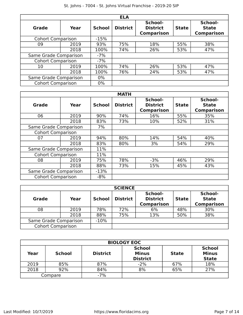|                          |      |               | <b>ELA</b>      |                                                 |              |                                              |
|--------------------------|------|---------------|-----------------|-------------------------------------------------|--------------|----------------------------------------------|
| Grade                    | Year | <b>School</b> | <b>District</b> | School-<br><b>District</b><br><b>Comparison</b> | <b>State</b> | School-<br><b>State</b><br><b>Comparison</b> |
| <b>Cohort Comparison</b> |      | $-15%$        |                 |                                                 |              |                                              |
| 09                       | 2019 | 93%           | 75%             | 18%                                             | 55%          | 38%                                          |
|                          | 2018 | 100%          | 74%             | 26%                                             | 53%          | 47%                                          |
| Same Grade Comparison    |      | $-7%$         |                 |                                                 |              |                                              |
| <b>Cohort Comparison</b> |      | $-7%$         |                 |                                                 |              |                                              |
| 10                       | 2019 | 100%          | 74%             | 26%                                             | 53%          | 47%                                          |
|                          | 2018 | 100%          | 76%             | 24%                                             | 53%          | 47%                                          |
| Same Grade Comparison    |      | $0\%$         |                 |                                                 |              |                                              |
| <b>Cohort Comparison</b> |      | $0\%$         |                 |                                                 |              |                                              |

|                          |      |               | <b>MATH</b>     |                                                 |              |                                              |
|--------------------------|------|---------------|-----------------|-------------------------------------------------|--------------|----------------------------------------------|
| Grade                    | Year | <b>School</b> | <b>District</b> | School-<br><b>District</b><br><b>Comparison</b> | <b>State</b> | School-<br><b>State</b><br><b>Comparison</b> |
| 06                       | 2019 | 90%           | 74%             | 16%                                             | 55%          | 35%                                          |
|                          | 2018 | 83%           | 73%             | 10%                                             | 52%          | 31%                                          |
| Same Grade Comparison    |      | 7%            |                 |                                                 |              |                                              |
| <b>Cohort Comparison</b> |      |               |                 |                                                 |              |                                              |
| 07                       | 2019 | 94%           | 80%             | 14%                                             | 54%          | 40%                                          |
|                          | 2018 | 83%           | 80%             | 3%                                              | 54%          | 29%                                          |
| Same Grade Comparison    |      | 11%           |                 |                                                 |              |                                              |
| <b>Cohort Comparison</b> |      | 11%           |                 |                                                 |              |                                              |
| 08                       | 2019 | 75%           | 78%             | $-3%$                                           | 46%          | 29%                                          |
|                          | 2018 | 88%           | 73%             | 15%                                             | 45%          | 43%                                          |
| Same Grade Comparison    |      | $-13%$        |                 |                                                 |              |                                              |
| <b>Cohort Comparison</b> |      | $-8%$         |                 |                                                 |              |                                              |

|                          | <b>SCIENCE</b> |               |                 |                                                 |              |                                              |  |  |  |  |  |
|--------------------------|----------------|---------------|-----------------|-------------------------------------------------|--------------|----------------------------------------------|--|--|--|--|--|
| <b>Grade</b>             | Year           | <b>School</b> | <b>District</b> | School-<br><b>District</b><br><b>Comparison</b> | <b>State</b> | School-<br><b>State</b><br><b>Comparison</b> |  |  |  |  |  |
| 08                       | 2019           | 78%           | 72%             | 6%                                              | 48%          | 30%                                          |  |  |  |  |  |
|                          | 2018           | 88%           | 75%             | 13%                                             | 50%          | 38%                                          |  |  |  |  |  |
| Same Grade Comparison    |                | $-10%$        |                 |                                                 |              |                                              |  |  |  |  |  |
| <b>Cohort Comparison</b> |                |               |                 |                                                 |              |                                              |  |  |  |  |  |

|      | <b>BIOLOGY EOC</b> |                 |                                                  |              |                                               |  |  |  |  |  |  |
|------|--------------------|-----------------|--------------------------------------------------|--------------|-----------------------------------------------|--|--|--|--|--|--|
| Year | <b>School</b>      | <b>District</b> | <b>School</b><br><b>Minus</b><br><b>District</b> | <b>State</b> | <b>School</b><br><b>Minus</b><br><b>State</b> |  |  |  |  |  |  |
| 2019 | 85%                | 87%             | $-2%$                                            | 67%          | 18%                                           |  |  |  |  |  |  |
| 2018 | 92%                | 84%             | 8%                                               | 65%          | 27%                                           |  |  |  |  |  |  |
|      | Compare            | $-7%$           |                                                  |              |                                               |  |  |  |  |  |  |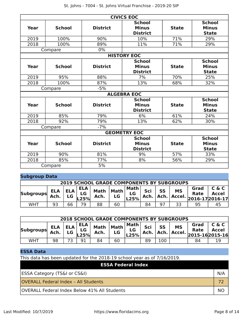| <b>CIVICS EOC</b> |               |                 |                                                  |              |                                               |  |  |  |  |  |
|-------------------|---------------|-----------------|--------------------------------------------------|--------------|-----------------------------------------------|--|--|--|--|--|
| <b>Year</b>       | <b>School</b> | <b>District</b> | <b>School</b><br><b>Minus</b><br><b>District</b> | <b>State</b> | <b>School</b><br><b>Minus</b><br><b>State</b> |  |  |  |  |  |
| 2019              | 100%          | 90%             | 10%                                              | 71%          | 29%                                           |  |  |  |  |  |
| 2018              | 100%          | 89%             | 11%                                              | 71%          | 29%                                           |  |  |  |  |  |
|                   | Compare       | $0\%$           |                                                  |              |                                               |  |  |  |  |  |
|                   |               |                 | <b>HISTORY EOC</b>                               |              |                                               |  |  |  |  |  |
| Year              | <b>School</b> | <b>District</b> | <b>School</b><br><b>Minus</b><br><b>District</b> | <b>State</b> | <b>School</b><br><b>Minus</b><br><b>State</b> |  |  |  |  |  |
| 2019              | 95%           | 88%             | 7%                                               | 70%          | 25%                                           |  |  |  |  |  |
| 2018              | 100%          | 87%             | 13%                                              | 68%          | 32%                                           |  |  |  |  |  |
|                   | Compare       | $-5%$           |                                                  |              |                                               |  |  |  |  |  |
|                   |               |                 | <b>ALGEBRA EOC</b>                               |              |                                               |  |  |  |  |  |
| Year              | <b>School</b> | <b>District</b> | <b>School</b><br><b>Minus</b><br><b>District</b> | <b>State</b> | <b>School</b><br><b>Minus</b><br><b>State</b> |  |  |  |  |  |
| 2019              | 85%           | 79%             | 6%                                               | 61%          | 24%                                           |  |  |  |  |  |
| 2018              | 92%           | 79%             | 13%                                              | 62%          | 30%                                           |  |  |  |  |  |
|                   | Compare       | $-7%$           |                                                  |              |                                               |  |  |  |  |  |
|                   |               |                 | <b>GEOMETRY EOC</b>                              |              |                                               |  |  |  |  |  |
| Year              | <b>School</b> | <b>District</b> | <b>School</b><br><b>Minus</b><br><b>District</b> | <b>State</b> | <b>School</b><br><b>Minus</b><br><b>State</b> |  |  |  |  |  |
| 2019              | 90%           | 81%             | 9%                                               | 57%          | 33%                                           |  |  |  |  |  |
| 2018              | 85%           | 77%             | 8%                                               | 56%          | 29%                                           |  |  |  |  |  |
|                   | Compare       | 5%              |                                                  |              |                                               |  |  |  |  |  |

### **Subgroup Data**

| <b>2019 SCHOOL GRADE COMPONENTS BY SUBGROUPS</b> |                    |            |                         |                     |                   |                      |             |           |                          |                                             |                       |
|--------------------------------------------------|--------------------|------------|-------------------------|---------------------|-------------------|----------------------|-------------|-----------|--------------------------|---------------------------------------------|-----------------------|
| <b>Subgroups</b>                                 | <b>ELA</b><br>Ach. | ELA.<br>LG | <b>ELA</b><br>LG<br>25% | <b>Math</b><br>Ach. | <b>Math</b><br>LG | Math  <br>LG<br>L25% | Sci<br>Ach. | <b>SS</b> | <b>MS</b><br>Ach. Accel. | Grad<br><b>Rate</b><br>$2016 - 172016 - 17$ | C & C<br><b>Accel</b> |
| WHT                                              | 93                 | 66         | 7۵                      | 88                  | 60                |                      | 84          | 97        | ココ                       | 95                                          |                       |

| <b>2018 SCHOOL GRADE COMPONENTS BY SUBGROUPS</b> |                    |                  |                          |                     |            |                      |             |                   |                     |                                             |                       |
|--------------------------------------------------|--------------------|------------------|--------------------------|---------------------|------------|----------------------|-------------|-------------------|---------------------|---------------------------------------------|-----------------------|
| <b>Subgroups</b>                                 | <b>ELA</b><br>Ach. | <b>ELA</b><br>LG | <b>ELA</b><br>LG<br>.25% | <b>Math</b><br>Ach. | Math<br>LG | Math  <br>LG<br>L25% | Sci<br>Ach. | <b>SS</b><br>Ach. | <b>MS</b><br>Accel. | Grad<br><b>Rate</b><br>$2015 - 162015 - 16$ | C & C<br><b>Accel</b> |
| WHT                                              | 98                 |                  | 91                       | 84                  | 60         |                      | 89          | 100               |                     | 84                                          |                       |

### **ESSA Data**

This data has been updated for the 2018-19 school year as of 7/16/2019.

| <b>ESSA Federal Index</b>                           |     |
|-----------------------------------------------------|-----|
| <b>ESSA Category (TS&amp;I or CS&amp;I)</b>         | N/A |
| <b>OVERALL Federal Index - All Students</b>         |     |
| <b>OVERALL Federal Index Below 41% All Students</b> | NO. |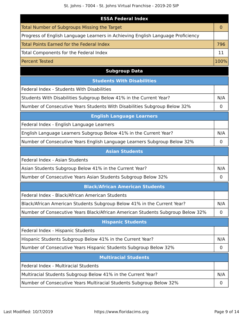| <b>ESSA Federal Index</b>                                                       |                |
|---------------------------------------------------------------------------------|----------------|
| <b>Total Number of Subgroups Missing the Target</b>                             | $\overline{0}$ |
| Progress of English Language Learners in Achieving English Language Proficiency |                |
| Total Points Earned for the Federal Index                                       | 796            |
| Total Components for the Federal Index                                          | 11             |
| <b>Percent Tested</b>                                                           | 100%           |
| <b>Subgroup Data</b>                                                            |                |
| <b>Students With Disabilities</b>                                               |                |
| Federal Index - Students With Disabilities                                      |                |
| Students With Disabilities Subgroup Below 41% in the Current Year?              | N/A            |
| Number of Consecutive Years Students With Disabilities Subgroup Below 32%       | 0              |
| <b>English Language Learners</b>                                                |                |
| Federal Index - English Language Learners                                       |                |
| English Language Learners Subgroup Below 41% in the Current Year?               | N/A            |
| Number of Consecutive Years English Language Learners Subgroup Below 32%        | 0              |
| <b>Asian Students</b>                                                           |                |
| Federal Index - Asian Students                                                  |                |
| Asian Students Subgroup Below 41% in the Current Year?                          | N/A            |
| Number of Consecutive Years Asian Students Subgroup Below 32%                   | 0              |
| <b>Black/African American Students</b>                                          |                |
| Federal Index - Black/African American Students                                 |                |
| Black/African American Students Subgroup Below 41% in the Current Year?         | N/A            |
| Number of Consecutive Years Black/African American Students Subgroup Below 32%  | 0              |
| <b>Hispanic Students</b>                                                        |                |
| Federal Index - Hispanic Students                                               |                |
| Hispanic Students Subgroup Below 41% in the Current Year?                       | N/A            |
| Number of Consecutive Years Hispanic Students Subgroup Below 32%                | $\mathbf 0$    |
| <b>Multiracial Students</b>                                                     |                |
| Federal Index - Multiracial Students                                            |                |
| Multiracial Students Subgroup Below 41% in the Current Year?                    | N/A            |
| Number of Consecutive Years Multiracial Students Subgroup Below 32%             | 0              |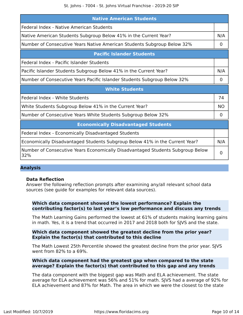| <b>Native American Students</b>                                                       |     |
|---------------------------------------------------------------------------------------|-----|
| Federal Index - Native American Students                                              |     |
| Native American Students Subgroup Below 41% in the Current Year?                      | N/A |
| Number of Consecutive Years Native American Students Subgroup Below 32%               | 0   |
| <b>Pacific Islander Students</b>                                                      |     |
| Federal Index - Pacific Islander Students                                             |     |
| Pacific Islander Students Subgroup Below 41% in the Current Year?                     | N/A |
| Number of Consecutive Years Pacific Islander Students Subgroup Below 32%              | 0   |
| <b>White Students</b>                                                                 |     |
| Federal Index - White Students                                                        | 74  |
| White Students Subgroup Below 41% in the Current Year?                                | NO  |
| Number of Consecutive Years White Students Subgroup Below 32%                         | 0   |
| <b>Economically Disadvantaged Students</b>                                            |     |
| Federal Index - Economically Disadvantaged Students                                   |     |
| Economically Disadvantaged Students Subgroup Below 41% in the Current Year?           | N/A |
| Number of Consecutive Years Economically Disadvantaged Students Subgroup Below<br>32% | 0   |

### **Analysis**

### **Data Reflection**

Answer the following reflection prompts after examining any/all relevant school data sources (see guide for examples for relevant data sources).

### **Which data component showed the lowest performance? Explain the contributing factor(s) to last year's low performance and discuss any trends**

The Math Learning Gains performed the lowest at 61% of students making learning gains in math. Yes, it is a trend that occurred in 2017 and 2018 both for SJVS and the state.

#### **Which data component showed the greatest decline from the prior year? Explain the factor(s) that contributed to this decline**

The Math Lowest 25th Percentile showed the greatest decline from the prior year. SJVS went from 82% to a 69%.

### **Which data component had the greatest gap when compared to the state average? Explain the factor(s) that contributed to this gap and any trends**

The data component with the biggest gap was Math and ELA achievement. The state average for ELA achievement was 56% and 51% for math. SJVS had a average of 92% for ELA achievement and 87% for Math. The area in which we were the closest to the state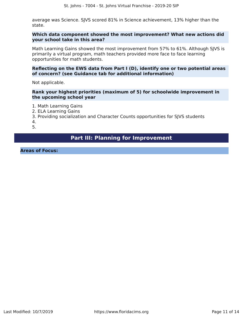average was Science. SJVS scored 81% in Science achievement, 13% higher than the state.

### **Which data component showed the most improvement? What new actions did your school take in this area?**

Math Learning Gains showed the most improvement from 57% to 61%. Although SJVS is primarily a virtual program, math teachers provided more face to face learning opportunities for math students.

### **Reflecting on the EWS data from Part I (D), identify one or two potential areas of concern? (see Guidance tab for additional information)**

Not applicable.

**Rank your highest priorities (maximum of 5) for schoolwide improvement in the upcoming school year**

1. Math Learning Gains

- 2. ELA Learning Gains
- 3. Providing socialization and Character Counts opportunities for SJVS students

4.

5.

### **Part III: Planning for Improvement**

<span id="page-10-0"></span>**Areas of Focus:**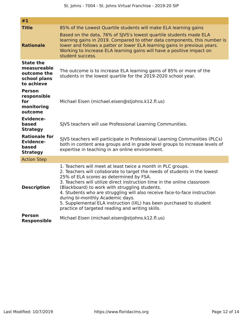| #1                                                                           |                                                                                                                                                                                                                                                                                                                                                                                                                                                                                                                                                                |
|------------------------------------------------------------------------------|----------------------------------------------------------------------------------------------------------------------------------------------------------------------------------------------------------------------------------------------------------------------------------------------------------------------------------------------------------------------------------------------------------------------------------------------------------------------------------------------------------------------------------------------------------------|
| <b>Title</b><br><b>Rationale</b>                                             | 85% of the Lowest Quartile students will make ELA learning gains<br>Based on the data, 76% of SJVS's lowest quartile students made ELA<br>learning gains in 2019. Compared to other data components, this number is<br>lower and follows a patter or lower ELA learning gains in previous years.<br>Working to increase ELA learning gains will have a positive impact on<br>student success.                                                                                                                                                                  |
| <b>State the</b><br>measureable<br>outcome the<br>school plans<br>to achieve | The outcome is to increase ELA learning gains of 85% or more of the<br>students in the lowest quartile for the 2019-2020 school year.                                                                                                                                                                                                                                                                                                                                                                                                                          |
| <b>Person</b><br>responsible<br>for<br>monitoring<br>outcome                 | Michael Eisen (michael.eisen@stjohns.k12.fl.us)                                                                                                                                                                                                                                                                                                                                                                                                                                                                                                                |
| <b>Evidence-</b><br>based<br><b>Strategy</b>                                 | SJVS teachers will use Professional Learning Communities.                                                                                                                                                                                                                                                                                                                                                                                                                                                                                                      |
| <b>Rationale for</b><br><b>Evidence-</b><br>based<br><b>Strategy</b>         | SJVS teachers will participate in Professional Learning Communities (PLCs)<br>both in content area groups and in grade level groups to increase levels of<br>expertise in teaching in an online environment.                                                                                                                                                                                                                                                                                                                                                   |
| <b>Action Step</b>                                                           |                                                                                                                                                                                                                                                                                                                                                                                                                                                                                                                                                                |
| <b>Description</b>                                                           | 1. Teachers will meet at least twice a month in PLC groups.<br>2. Teachers will collaborate to target the needs of students in the lowest<br>25% of ELA scores as determined by FSA.<br>3. Teachers will utilize direct instruction time in the online classroom<br>(Blackboard) to work with struggling students.<br>4. Students who are struggling will also receive face-to-face instruction<br>during bi-monthly Academic days.<br>5. Supplemental ELA instruction (IXL) has been purchased to student<br>practice of targeted reading and writing skills. |
| <b>Person</b><br><b>Responsible</b>                                          | Michael Eisen (michael.eisen@stjohns.k12.fl.us)                                                                                                                                                                                                                                                                                                                                                                                                                                                                                                                |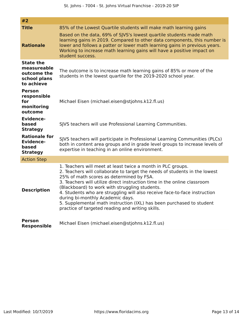| #2                                                                           |                                                                                                                                                                                                                                                                                                                                                                                                                                                                                                                                                                  |
|------------------------------------------------------------------------------|------------------------------------------------------------------------------------------------------------------------------------------------------------------------------------------------------------------------------------------------------------------------------------------------------------------------------------------------------------------------------------------------------------------------------------------------------------------------------------------------------------------------------------------------------------------|
| <b>Title</b><br><b>Rationale</b>                                             | 85% of the Lowest Quartile students will make math learning gains<br>Based on the data, 69% of SJVS's lowest quartile students made math<br>learning gains in 2019. Compared to other data components, this number is<br>lower and follows a patter or lower math learning gains in previous years.<br>Working to increase math learning gains will have a positive impact on<br>student success.                                                                                                                                                                |
| <b>State the</b><br>measureable<br>outcome the<br>school plans<br>to achieve | The outcome is to increase math learning gains of 85% or more of the<br>students in the lowest quartile for the 2019-2020 school year.                                                                                                                                                                                                                                                                                                                                                                                                                           |
| <b>Person</b><br>responsible<br>for<br>monitoring<br>outcome                 | Michael Eisen (michael.eisen@stjohns.k12.fl.us)                                                                                                                                                                                                                                                                                                                                                                                                                                                                                                                  |
| <b>Evidence-</b><br>based<br><b>Strategy</b>                                 | SJVS teachers will use Professional Learning Communities.                                                                                                                                                                                                                                                                                                                                                                                                                                                                                                        |
| <b>Rationale for</b><br><b>Evidence-</b><br>based<br><b>Strategy</b>         | SJVS teachers will participate in Professional Learning Communities (PLCs)<br>both in content area groups and in grade level groups to increase levels of<br>expertise in teaching in an online environment.                                                                                                                                                                                                                                                                                                                                                     |
| <b>Action Step</b>                                                           |                                                                                                                                                                                                                                                                                                                                                                                                                                                                                                                                                                  |
| <b>Description</b>                                                           | 1. Teachers will meet at least twice a month in PLC groups.<br>2. Teachers will collaborate to target the needs of students in the lowest<br>25% of math scores as determined by FSA.<br>3. Teachers will utilize direct instruction time in the online classroom<br>(Blackboard) to work with struggling students.<br>4. Students who are struggling will also receive face-to-face instruction<br>during bi-monthly Academic days.<br>5. Supplemental math instruction (IXL) has been purchased to student<br>practice of targeted reading and writing skills. |
| <b>Person</b><br><b>Responsible</b>                                          | Michael Eisen (michael.eisen@stjohns.k12.fl.us)                                                                                                                                                                                                                                                                                                                                                                                                                                                                                                                  |